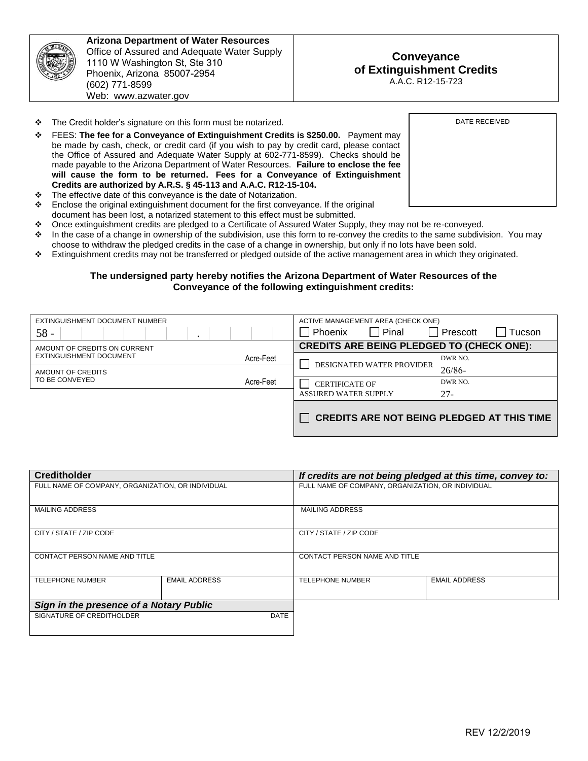

**Arizona Department of Water Resources**  Office of Assured and Adequate Water Supply 1110 W Washington St, Ste 310 Phoenix, Arizona 85007-2954 (602) 771-8599 Web: www.azwater.gov

- \* The Credit holder's signature on this form must be notarized.
- FEES: **The fee for a Conveyance of Extinguishment Credits is \$250.00.** Payment may be made by cash, check, or credit card (if you wish to pay by credit card, please contact the Office of Assured and Adequate Water Supply at 602-771-8599). Checks should be made payable to the Arizona Department of Water Resources. **Failure to enclose the fee will cause the form to be returned. Fees for a Conveyance of Extinguishment Credits are authorized by A.R.S. § 45-113 and A.A.C. R12-15-104.**
- \* The effective date of this conveyance is the date of Notarization.
- $\div$  Enclose the original extinguishment document for the first conveyance. If the original document has been lost, a notarized statement to this effect must be submitted.
- Once extinguishment credits are pledged to a Certificate of Assured Water Supply, they may not be re-conveyed.
- $\cdot$  In the case of a change in ownership of the subdivision, use this form to re-convey the credits to the same subdivision. You may choose to withdraw the pledged credits in the case of a change in ownership, but only if no lots have been sold.
- Extinguishment credits may not be transferred or pledged outside of the active management area in which they originated.

## **The undersigned party hereby notifies the Arizona Department of Water Resources of the Conveyance of the following extinguishment credits:**

| EXTINGUISHMENT DOCUMENT NUMBER       | ACTIVE MANAGEMENT AREA (CHECK ONE)                |  |
|--------------------------------------|---------------------------------------------------|--|
| $58 -$<br>$\cdot$                    | Pinal<br>Phoenix<br>Prescott<br>Tucson            |  |
| AMOUNT OF CREDITS ON CURRENT         | <b>CREDITS ARE BEING PLEDGED TO (CHECK ONE):</b>  |  |
| EXTINGUISHMENT DOCUMENT<br>Acre-Feet | DWR NO.                                           |  |
| AMOUNT OF CREDITS                    | DESIGNATED WATER PROVIDER<br>26/86                |  |
| TO BE CONVEYED<br>Acre-Feet          | DWR NO.<br><b>CERTIFICATE OF</b>                  |  |
|                                      | <b>ASSURED WATER SUPPLY</b><br>$27 -$             |  |
|                                      | <b>CREDITS ARE NOT BEING PLEDGED AT THIS TIME</b> |  |

| <b>Creditholder</b>                               |                      | If credits are not being pledged at this time, convey to: |                      |
|---------------------------------------------------|----------------------|-----------------------------------------------------------|----------------------|
| FULL NAME OF COMPANY, ORGANIZATION, OR INDIVIDUAL |                      | FULL NAME OF COMPANY, ORGANIZATION, OR INDIVIDUAL         |                      |
|                                                   |                      |                                                           |                      |
| <b>MAILING ADDRESS</b>                            |                      | <b>MAILING ADDRESS</b>                                    |                      |
|                                                   |                      |                                                           |                      |
| CITY / STATE / ZIP CODE                           |                      | CITY / STATE / ZIP CODE                                   |                      |
|                                                   |                      |                                                           |                      |
| <b>CONTACT PERSON NAME AND TITLE</b>              |                      | CONTACT PERSON NAME AND TITLE                             |                      |
|                                                   |                      |                                                           |                      |
| <b>TELEPHONE NUMBER</b>                           | <b>EMAIL ADDRESS</b> | <b>TELEPHONE NUMBER</b>                                   | <b>EMAIL ADDRESS</b> |
|                                                   |                      |                                                           |                      |
| Sign in the presence of a Notary Public           |                      |                                                           |                      |
| SIGNATURE OF CREDITHOLDER                         | <b>DATE</b>          |                                                           |                      |
|                                                   |                      |                                                           |                      |

DATE RECEIVED